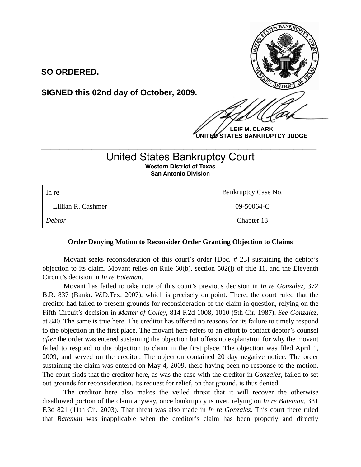

**LEIF M. CLARK UNITED STATES BANKRUPTCY JUDGE**

## United States Bankruptcy Court **Western District of Texas San Antonio Division**

**\_\_\_\_\_\_\_\_\_\_\_\_\_\_\_\_\_\_\_\_\_\_\_\_\_\_\_\_\_\_\_\_\_\_\_\_\_\_\_\_\_\_\_\_\_\_\_\_\_\_\_\_\_\_\_\_\_\_\_\_**

Lillian R. Cashmer 09-50064-C

**SO ORDERED.**

**SIGNED this 02nd day of October, 2009.**

In re Bankruptcy Case No.

*Debtor* Chapter 13

## **Order Denying Motion to Reconsider Order Granting Objection to Claims**

 Movant seeks reconsideration of this court's order [Doc. # 23] sustaining the debtor's objection to its claim. Movant relies on Rule 60(b), section 502(j) of title 11, and the Eleventh Circuit's decision in *In re Bateman*.

 Movant has failed to take note of this court's previous decision in *In re Gonzalez*, 372 B.R. 837 (Bankr. W.D.Tex. 2007), which is precisely on point. There, the court ruled that the creditor had failed to present grounds for reconsideration of the claim in question, relying on the Fifth Circuit's decision in *Matter of Colley*, 814 F.2d 1008, 1010 (5th Cir. 1987). *See Gonzalez*, at 840. The same is true here. The creditor has offered no reasons for its failure to timely respond to the objection in the first place. The movant here refers to an effort to contact debtor's counsel *after* the order was entered sustaining the objection but offers no explanation for why the movant failed to respond to the objection to claim in the first place. The objection was filed April 1, 2009, and served on the creditor. The objection contained 20 day negative notice. The order sustaining the claim was entered on May 4, 2009, there having been no response to the motion. The court finds that the creditor here, as was the case with the creditor in *Gonzalez*, failed to set out grounds for reconsideration. Its request for relief, on that ground, is thus denied.

 The creditor here also makes the veiled threat that it will recover the otherwise disallowed portion of the claim anyway, once bankruptcy is over, relying on *In re Bateman*, 331 F.3d 821 (11th Cir. 2003). That threat was also made in *In re Gonzalez*. This court there ruled that *Bateman* was inapplicable when the creditor's claim has been properly and directly